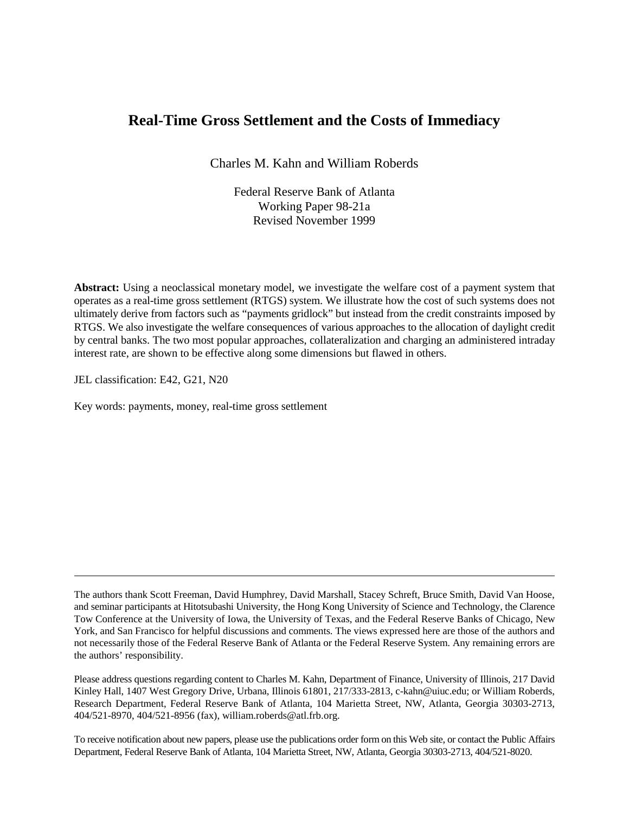# **Real-Time Gross Settlement and the Costs of Immediacy**

Charles M. Kahn and William Roberds

Federal Reserve Bank of Atlanta Working Paper 98-21a Revised November 1999

**Abstract:** Using a neoclassical monetary model, we investigate the welfare cost of a payment system that operates as a real-time gross settlement (RTGS) system. We illustrate how the cost of such systems does not ultimately derive from factors such as "payments gridlock" but instead from the credit constraints imposed by RTGS. We also investigate the welfare consequences of various approaches to the allocation of daylight credit by central banks. The two most popular approaches, collateralization and charging an administered intraday interest rate, are shown to be effective along some dimensions but flawed in others.

JEL classification: E42, G21, N20

Key words: payments, money, real-time gross settlement

Please address questions regarding content to Charles M. Kahn, Department of Finance, University of Illinois, 217 David Kinley Hall, 1407 West Gregory Drive, Urbana, Illinois 61801, 217/333-2813, c-kahn@uiuc.edu; or William Roberds, Research Department, Federal Reserve Bank of Atlanta, 104 Marietta Street, NW, Atlanta, Georgia 30303-2713, 404/521-8970, 404/521-8956 (fax), william.roberds@atl.frb.org.

To receive notification about new papers, please use the publications order form on this Web site, or contact the Public Affairs Department, Federal Reserve Bank of Atlanta, 104 Marietta Street, NW, Atlanta, Georgia 30303-2713, 404/521-8020.

The authors thank Scott Freeman, David Humphrey, David Marshall, Stacey Schreft, Bruce Smith, David Van Hoose, and seminar participants at Hitotsubashi University, the Hong Kong University of Science and Technology, the Clarence Tow Conference at the University of Iowa, the University of Texas, and the Federal Reserve Banks of Chicago, New York, and San Francisco for helpful discussions and comments. The views expressed here are those of the authors and not necessarily those of the Federal Reserve Bank of Atlanta or the Federal Reserve System. Any remaining errors are the authors' responsibility.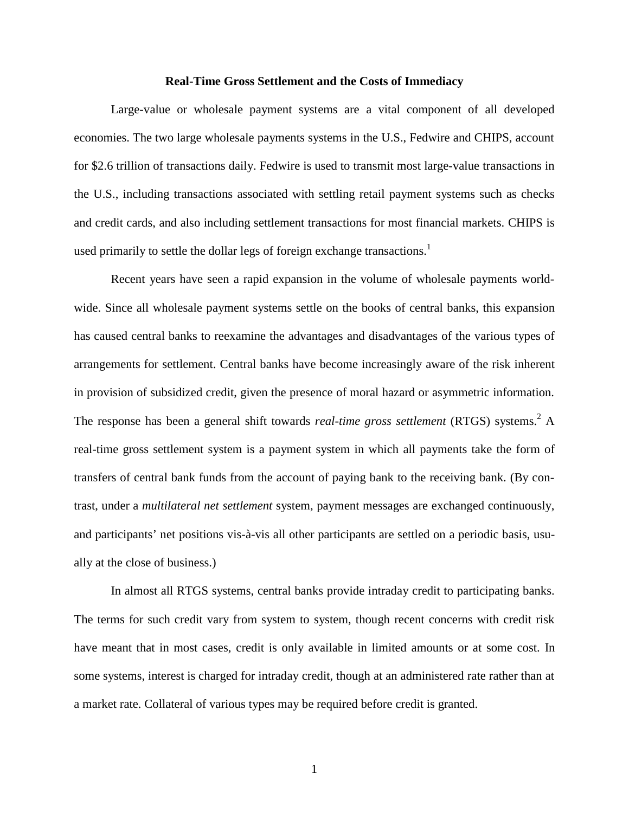### **Real-Time Gross Settlement and the Costs of Immediacy**

Large-value or wholesale payment systems are a vital component of all developed economies. The two large wholesale payments systems in the U.S., Fedwire and CHIPS, account for \$2.6 trillion of transactions daily. Fedwire is used to transmit most large-value transactions in the U.S., including transactions associated with settling retail payment systems such as checks and credit cards, and also including settlement transactions for most financial markets. CHIPS is used primarily to settle the dollar legs of foreign exchange transactions.<sup>1</sup>

Recent years have seen a rapid expansion in the volume of wholesale payments worldwide. Since all wholesale payment systems settle on the books of central banks, this expansion has caused central banks to reexamine the advantages and disadvantages of the various types of arrangements for settlement. Central banks have become increasingly aware of the risk inherent in provision of subsidized credit, given the presence of moral hazard or asymmetric information. The response has been a general shift towards *real-time gross settlement* (RTGS) systems.<sup>2</sup> A real-time gross settlement system is a payment system in which all payments take the form of transfers of central bank funds from the account of paying bank to the receiving bank. (By contrast, under a *multilateral net settlement* system, payment messages are exchanged continuously, and participants' net positions vis-à-vis all other participants are settled on a periodic basis, usually at the close of business.)

In almost all RTGS systems, central banks provide intraday credit to participating banks. The terms for such credit vary from system to system, though recent concerns with credit risk have meant that in most cases, credit is only available in limited amounts or at some cost. In some systems, interest is charged for intraday credit, though at an administered rate rather than at a market rate. Collateral of various types may be required before credit is granted.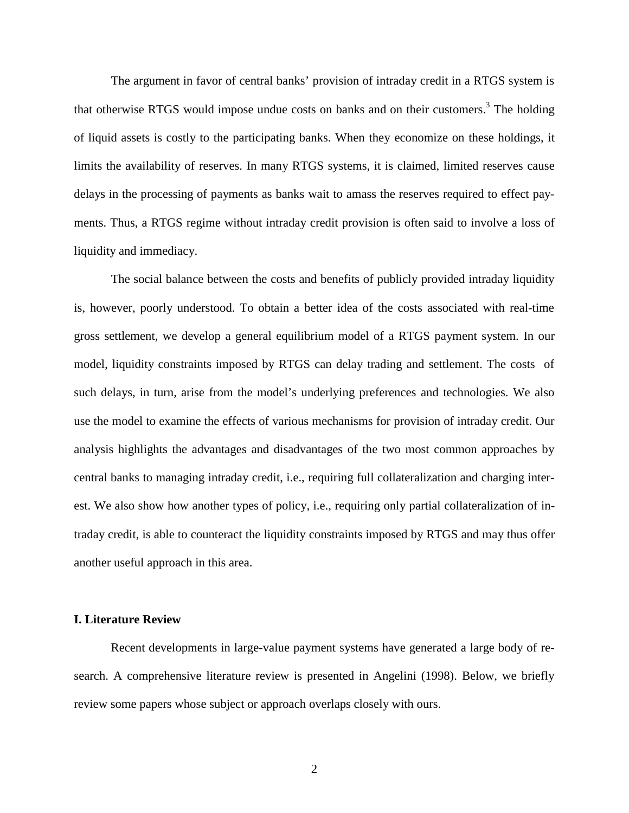The argument in favor of central banks' provision of intraday credit in a RTGS system is that otherwise RTGS would impose undue costs on banks and on their customers.<sup>3</sup> The holding of liquid assets is costly to the participating banks. When they economize on these holdings, it limits the availability of reserves. In many RTGS systems, it is claimed, limited reserves cause delays in the processing of payments as banks wait to amass the reserves required to effect payments. Thus, a RTGS regime without intraday credit provision is often said to involve a loss of liquidity and immediacy.

The social balance between the costs and benefits of publicly provided intraday liquidity is, however, poorly understood. To obtain a better idea of the costs associated with real-time gross settlement, we develop a general equilibrium model of a RTGS payment system. In our model, liquidity constraints imposed by RTGS can delay trading and settlement. The costs of such delays, in turn, arise from the model's underlying preferences and technologies. We also use the model to examine the effects of various mechanisms for provision of intraday credit. Our analysis highlights the advantages and disadvantages of the two most common approaches by central banks to managing intraday credit, i.e., requiring full collateralization and charging interest. We also show how another types of policy, i.e., requiring only partial collateralization of intraday credit, is able to counteract the liquidity constraints imposed by RTGS and may thus offer another useful approach in this area.

### **I. Literature Review**

Recent developments in large-value payment systems have generated a large body of research. A comprehensive literature review is presented in Angelini (1998). Below, we briefly review some papers whose subject or approach overlaps closely with ours.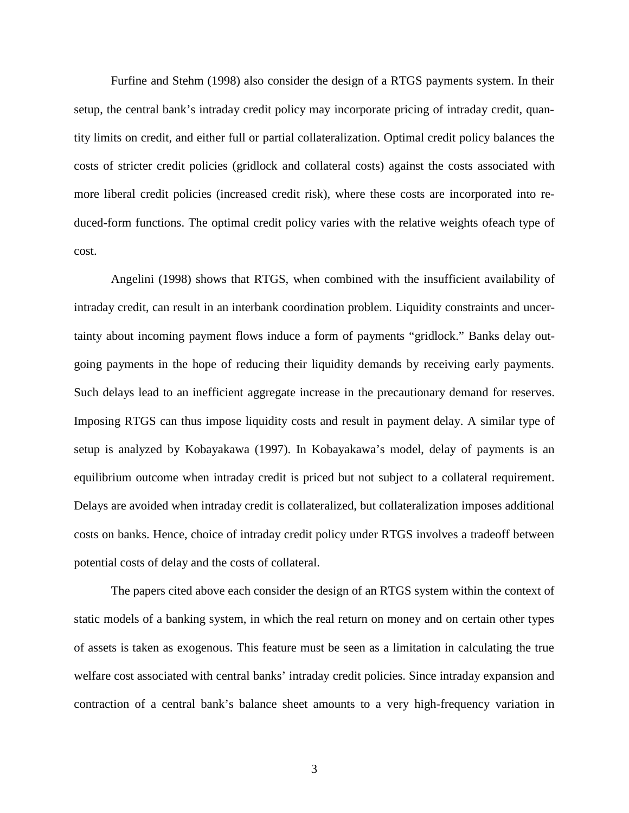Furfine and Stehm (1998) also consider the design of a RTGS payments system. In their setup, the central bank's intraday credit policy may incorporate pricing of intraday credit, quantity limits on credit, and either full or partial collateralization. Optimal credit policy balances the costs of stricter credit policies (gridlock and collateral costs) against the costs associated with more liberal credit policies (increased credit risk), where these costs are incorporated into reduced-form functions. The optimal credit policy varies with the relative weights ofeach type of cost.

Angelini (1998) shows that RTGS, when combined with the insufficient availability of intraday credit, can result in an interbank coordination problem. Liquidity constraints and uncertainty about incoming payment flows induce a form of payments "gridlock." Banks delay outgoing payments in the hope of reducing their liquidity demands by receiving early payments. Such delays lead to an inefficient aggregate increase in the precautionary demand for reserves. Imposing RTGS can thus impose liquidity costs and result in payment delay. A similar type of setup is analyzed by Kobayakawa (1997). In Kobayakawa's model, delay of payments is an equilibrium outcome when intraday credit is priced but not subject to a collateral requirement. Delays are avoided when intraday credit is collateralized, but collateralization imposes additional costs on banks. Hence, choice of intraday credit policy under RTGS involves a tradeoff between potential costs of delay and the costs of collateral.

The papers cited above each consider the design of an RTGS system within the context of static models of a banking system, in which the real return on money and on certain other types of assets is taken as exogenous. This feature must be seen as a limitation in calculating the true welfare cost associated with central banks' intraday credit policies. Since intraday expansion and contraction of a central bank's balance sheet amounts to a very high-frequency variation in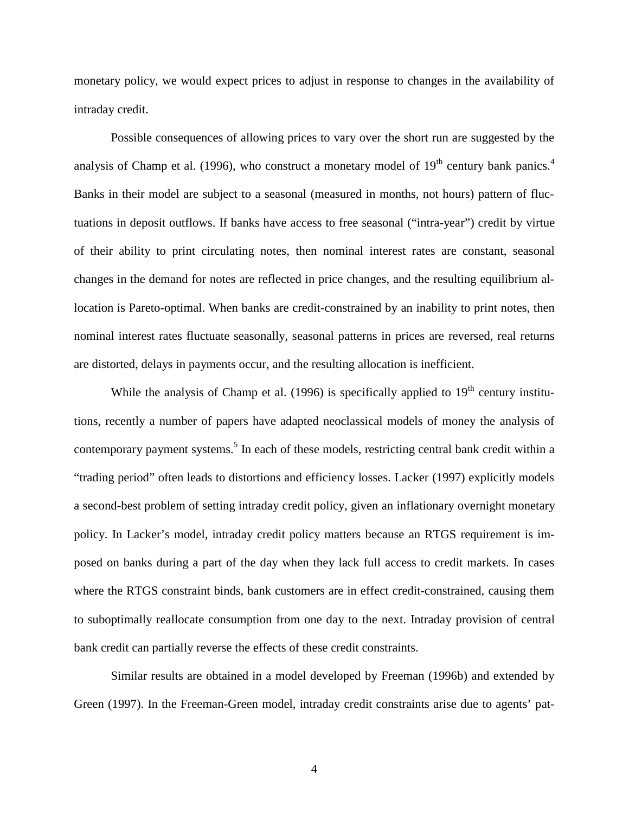monetary policy, we would expect prices to adjust in response to changes in the availability of intraday credit.

Possible consequences of allowing prices to vary over the short run are suggested by the analysis of Champ et al. (1996), who construct a monetary model of  $19<sup>th</sup>$  century bank panics.<sup>4</sup> Banks in their model are subject to a seasonal (measured in months, not hours) pattern of fluctuations in deposit outflows. If banks have access to free seasonal ("intra-year") credit by virtue of their ability to print circulating notes, then nominal interest rates are constant, seasonal changes in the demand for notes are reflected in price changes, and the resulting equilibrium allocation is Pareto-optimal. When banks are credit-constrained by an inability to print notes, then nominal interest rates fluctuate seasonally, seasonal patterns in prices are reversed, real returns are distorted, delays in payments occur, and the resulting allocation is inefficient.

While the analysis of Champ et al. (1996) is specifically applied to  $19<sup>th</sup>$  century institutions, recently a number of papers have adapted neoclassical models of money the analysis of contemporary payment systems.<sup>5</sup> In each of these models, restricting central bank credit within a "trading period" often leads to distortions and efficiency losses. Lacker (1997) explicitly models a second-best problem of setting intraday credit policy, given an inflationary overnight monetary policy. In Lacker's model, intraday credit policy matters because an RTGS requirement is imposed on banks during a part of the day when they lack full access to credit markets. In cases where the RTGS constraint binds, bank customers are in effect credit-constrained, causing them to suboptimally reallocate consumption from one day to the next. Intraday provision of central bank credit can partially reverse the effects of these credit constraints.

Similar results are obtained in a model developed by Freeman (1996b) and extended by Green (1997). In the Freeman-Green model, intraday credit constraints arise due to agents' pat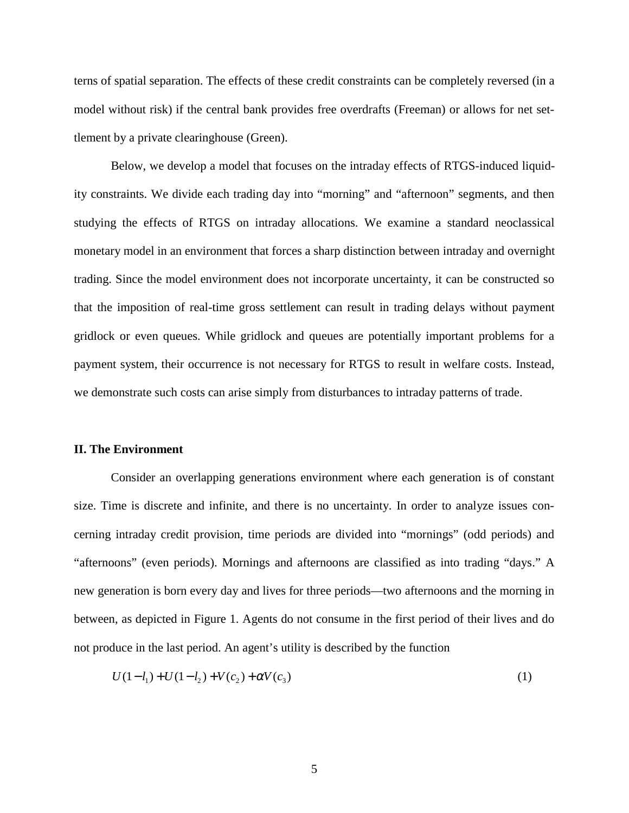terns of spatial separation. The effects of these credit constraints can be completely reversed (in a model without risk) if the central bank provides free overdrafts (Freeman) or allows for net settlement by a private clearinghouse (Green).

Below, we develop a model that focuses on the intraday effects of RTGS-induced liquidity constraints. We divide each trading day into "morning" and "afternoon" segments, and then studying the effects of RTGS on intraday allocations. We examine a standard neoclassical monetary model in an environment that forces a sharp distinction between intraday and overnight trading. Since the model environment does not incorporate uncertainty, it can be constructed so that the imposition of real-time gross settlement can result in trading delays without payment gridlock or even queues. While gridlock and queues are potentially important problems for a payment system, their occurrence is not necessary for RTGS to result in welfare costs. Instead, we demonstrate such costs can arise simply from disturbances to intraday patterns of trade.

### **II. The Environment**

Consider an overlapping generations environment where each generation is of constant size. Time is discrete and infinite, and there is no uncertainty. In order to analyze issues concerning intraday credit provision, time periods are divided into "mornings" (odd periods) and "afternoons" (even periods). Mornings and afternoons are classified as into trading "days." A new generation is born every day and lives for three periods—two afternoons and the morning in between, as depicted in Figure 1. Agents do not consume in the first period of their lives and do not produce in the last period. An agent's utility is described by the function

$$
U(1 - l_1) + U(1 - l_2) + V(c_2) + \alpha V(c_3)
$$
\n<sup>(1)</sup>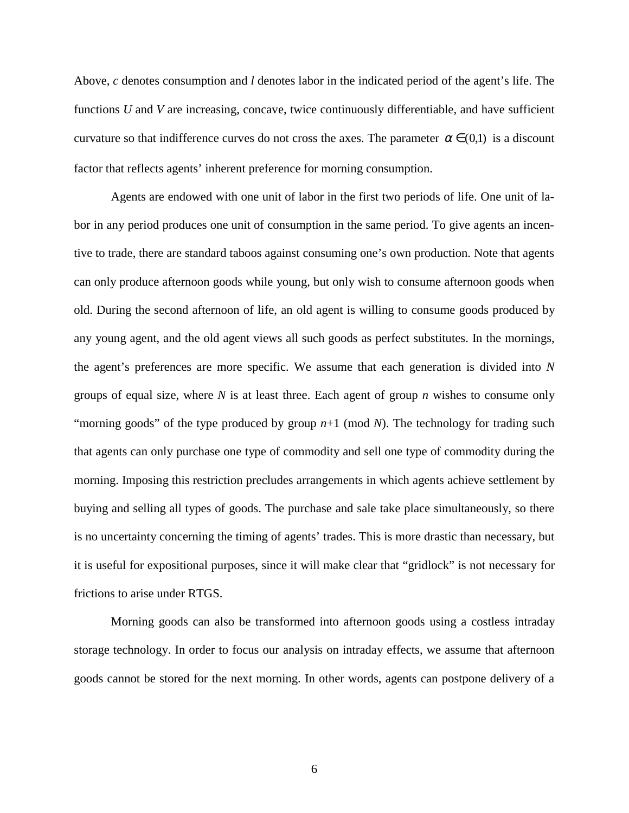Above, *c* denotes consumption and *l* denotes labor in the indicated period of the agent's life. The functions *U* and *V* are increasing, concave, twice continuously differentiable, and have sufficient curvature so that indifference curves do not cross the axes. The parameter  $\alpha \in (0,1)$  is a discount factor that reflects agents' inherent preference for morning consumption.

Agents are endowed with one unit of labor in the first two periods of life. One unit of labor in any period produces one unit of consumption in the same period. To give agents an incentive to trade, there are standard taboos against consuming one's own production. Note that agents can only produce afternoon goods while young, but only wish to consume afternoon goods when old. During the second afternoon of life, an old agent is willing to consume goods produced by any young agent, and the old agent views all such goods as perfect substitutes. In the mornings, the agent's preferences are more specific. We assume that each generation is divided into *N* groups of equal size, where *N* is at least three. Each agent of group *n* wishes to consume only "morning goods" of the type produced by group  $n+1$  (mod *N*). The technology for trading such that agents can only purchase one type of commodity and sell one type of commodity during the morning. Imposing this restriction precludes arrangements in which agents achieve settlement by buying and selling all types of goods. The purchase and sale take place simultaneously, so there is no uncertainty concerning the timing of agents' trades. This is more drastic than necessary, but it is useful for expositional purposes, since it will make clear that "gridlock" is not necessary for frictions to arise under RTGS.

Morning goods can also be transformed into afternoon goods using a costless intraday storage technology. In order to focus our analysis on intraday effects, we assume that afternoon goods cannot be stored for the next morning. In other words, agents can postpone delivery of a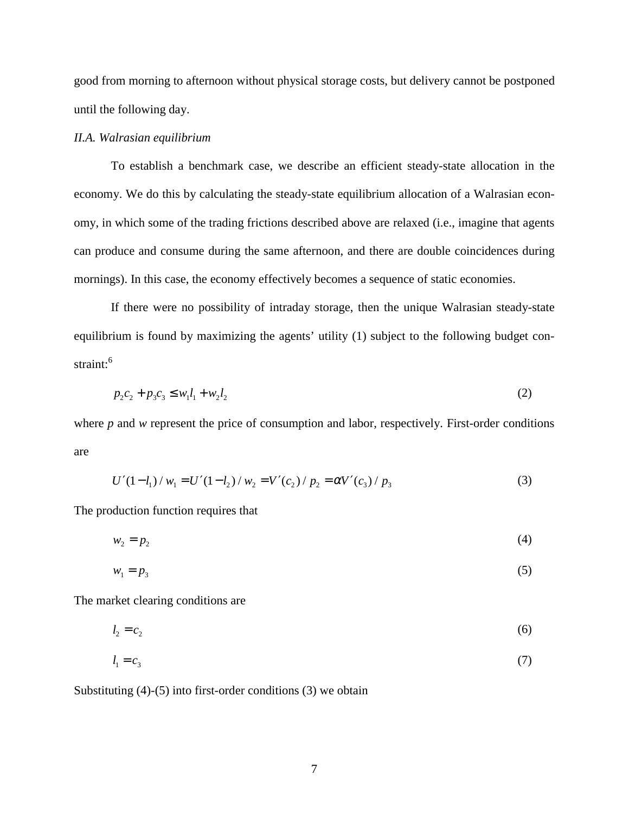good from morning to afternoon without physical storage costs, but delivery cannot be postponed until the following day.

## *II.A. Walrasian equilibrium*

To establish a benchmark case, we describe an efficient steady-state allocation in the economy. We do this by calculating the steady-state equilibrium allocation of a Walrasian economy, in which some of the trading frictions described above are relaxed (i.e., imagine that agents can produce and consume during the same afternoon, and there are double coincidences during mornings). In this case, the economy effectively becomes a sequence of static economies.

If there were no possibility of intraday storage, then the unique Walrasian steady-state equilibrium is found by maximizing the agents' utility (1) subject to the following budget constraint:<sup>6</sup>

$$
p_2c_2 + p_3c_3 \le w_1l_1 + w_2l_2 \tag{2}
$$

where *p* and *w* represent the price of consumption and labor, respectively. First-order conditions are

$$
U'(1 - l_1) / w_1 = U'(1 - l_2) / w_2 = V'(c_2) / p_2 = \alpha V'(c_3) / p_3
$$
\n(3)

The production function requires that

$$
w_2 = p_2 \tag{4}
$$

$$
w_1 = p_3 \tag{5}
$$

The market clearing conditions are

 $l_2 = c_2$  (6)

$$
l_1 = c_3 \tag{7}
$$

Substituting (4)-(5) into first-order conditions (3) we obtain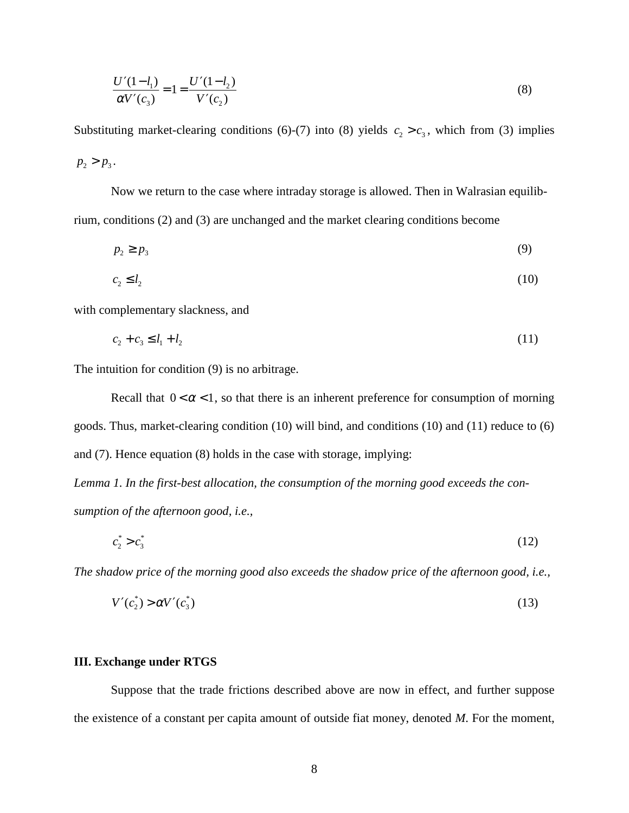$$
\frac{U'(1 - l_1)}{\alpha V'(c_3)} = 1 = \frac{U'(1 - l_2)}{V'(c_2)}
$$
\n(8)

Substituting market-clearing conditions (6)-(7) into (8) yields  $c_2 > c_3$ , which from (3) implies  $p_2 > p_3$ .

Now we return to the case where intraday storage is allowed. Then in Walrasian equilibrium, conditions (2) and (3) are unchanged and the market clearing conditions become

$$
p_2 \ge p_3 \tag{9}
$$

$$
c_2 \le l_2 \tag{10}
$$

with complementary slackness, and

$$
c_2 + c_3 \le l_1 + l_2 \tag{11}
$$

The intuition for condition (9) is no arbitrage.

Recall that  $0 < \alpha < 1$ , so that there is an inherent preference for consumption of morning goods. Thus, market-clearing condition (10) will bind, and conditions (10) and (11) reduce to (6) and (7). Hence equation (8) holds in the case with storage, implying:

*Lemma 1. In the first-best allocation, the consumption of the morning good exceeds the consumption of the afternoon good, i.e.,*

$$
c_2^* > c_3^* \tag{12}
$$

*The shadow price of the morning good also exceeds the shadow price of the afternoon good, i.e.,*

$$
V'(c_2^*) > \alpha V'(c_3^*)
$$
 (13)

# **III. Exchange under RTGS**

Suppose that the trade frictions described above are now in effect, and further suppose the existence of a constant per capita amount of outside fiat money, denoted *M*. For the moment,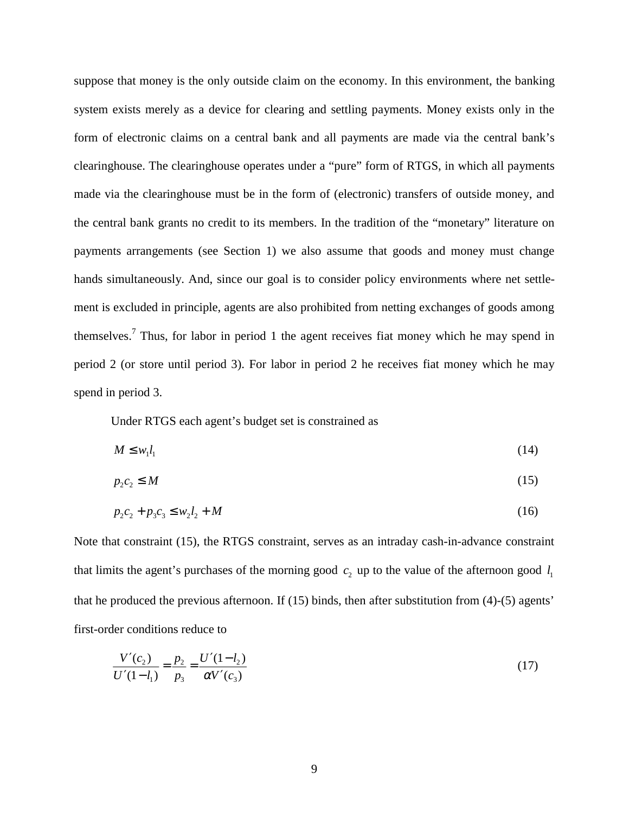suppose that money is the only outside claim on the economy. In this environment, the banking system exists merely as a device for clearing and settling payments. Money exists only in the form of electronic claims on a central bank and all payments are made via the central bank's clearinghouse. The clearinghouse operates under a "pure" form of RTGS, in which all payments made via the clearinghouse must be in the form of (electronic) transfers of outside money, and the central bank grants no credit to its members. In the tradition of the "monetary" literature on payments arrangements (see Section 1) we also assume that goods and money must change hands simultaneously. And, since our goal is to consider policy environments where net settlement is excluded in principle, agents are also prohibited from netting exchanges of goods among themselves.<sup>7</sup> Thus, for labor in period 1 the agent receives fiat money which he may spend in period 2 (or store until period 3). For labor in period 2 he receives fiat money which he may spend in period 3.

Under RTGS each agent's budget set is constrained as

$$
M \leq w_1 l_1 \tag{14}
$$

$$
p_2 c_2 \le M \tag{15}
$$

$$
p_2c_2 + p_3c_3 \le w_2l_2 + M \tag{16}
$$

Note that constraint (15), the RTGS constraint, serves as an intraday cash-in-advance constraint that limits the agent's purchases of the morning good  $c_2$  up to the value of the afternoon good  $l_1$ that he produced the previous afternoon. If (15) binds, then after substitution from (4)-(5) agents' first-order conditions reduce to

$$
\frac{V'(c_2)}{U'(1-l_1)} = \frac{p_2}{p_3} = \frac{U'(1-l_2)}{\alpha V'(c_3)}
$$
(17)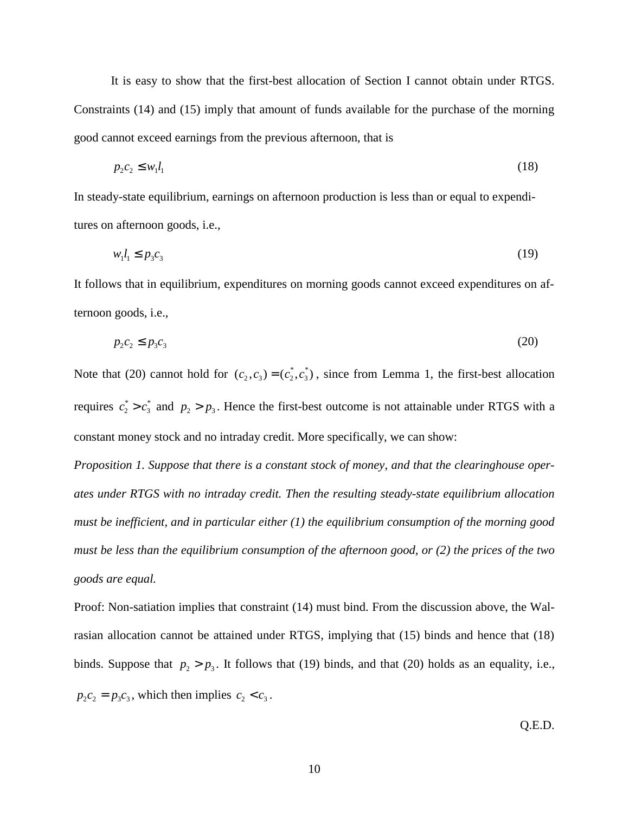It is easy to show that the first-best allocation of Section I cannot obtain under RTGS. Constraints (14) and (15) imply that amount of funds available for the purchase of the morning good cannot exceed earnings from the previous afternoon, that is

$$
p_2 c_2 \leq w_1 l_1 \tag{18}
$$

In steady-state equilibrium, earnings on afternoon production is less than or equal to expenditures on afternoon goods, i.e.,

$$
w_1 l_1 \le p_3 c_3 \tag{19}
$$

It follows that in equilibrium, expenditures on morning goods cannot exceed expenditures on afternoon goods, i.e.,

$$
p_2c_2 \le p_3c_3 \tag{20}
$$

Note that (20) cannot hold for  $(c_2, c_3) = (c_2^*, c_3^*)$ , since from Lemma 1, the first-best allocation requires  $c_2^* > c_3^*$  and  $p_2 > p_3$ . Hence the first-best outcome is not attainable under RTGS with a constant money stock and no intraday credit. More specifically, we can show:

*Proposition 1. Suppose that there is a constant stock of money, and that the clearinghouse operates under RTGS with no intraday credit. Then the resulting steady-state equilibrium allocation must be inefficient, and in particular either (1) the equilibrium consumption of the morning good must be less than the equilibrium consumption of the afternoon good, or (2) the prices of the two goods are equal.*

Proof: Non-satiation implies that constraint (14) must bind. From the discussion above, the Walrasian allocation cannot be attained under RTGS, implying that (15) binds and hence that (18) binds. Suppose that  $p_2 > p_3$ . It follows that (19) binds, and that (20) holds as an equality, i.e.,  $p_2c_2 = p_3c_3$ , which then implies  $c_2 < c_3$ .

Q.E.D.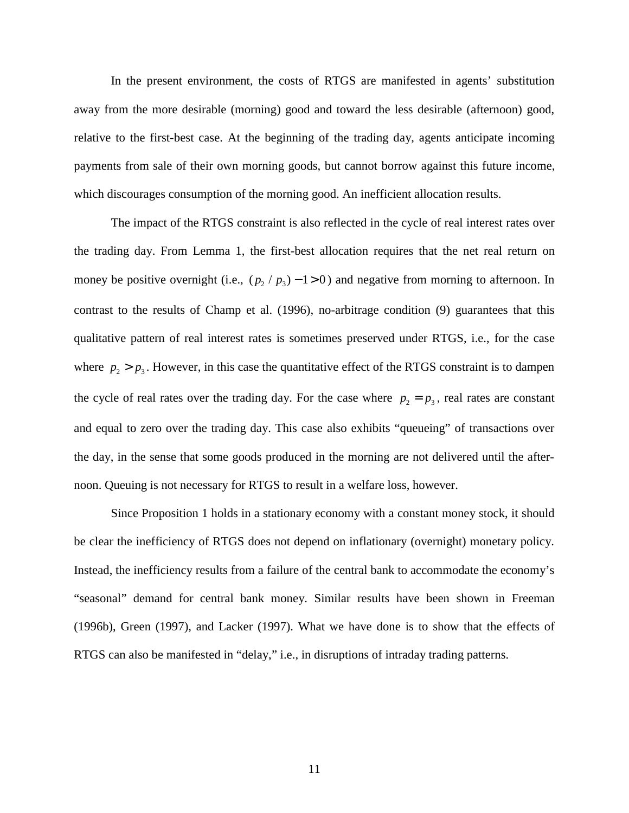In the present environment, the costs of RTGS are manifested in agents' substitution away from the more desirable (morning) good and toward the less desirable (afternoon) good, relative to the first-best case. At the beginning of the trading day, agents anticipate incoming payments from sale of their own morning goods, but cannot borrow against this future income, which discourages consumption of the morning good. An inefficient allocation results.

The impact of the RTGS constraint is also reflected in the cycle of real interest rates over the trading day. From Lemma 1, the first-best allocation requires that the net real return on money be positive overnight (i.e.,  $(p_2 / p_3) - 1 > 0$ ) and negative from morning to afternoon. In contrast to the results of Champ et al. (1996), no-arbitrage condition (9) guarantees that this qualitative pattern of real interest rates is sometimes preserved under RTGS, i.e., for the case where  $p_2 > p_3$ . However, in this case the quantitative effect of the RTGS constraint is to dampen the cycle of real rates over the trading day. For the case where  $p_2 = p_3$ , real rates are constant and equal to zero over the trading day. This case also exhibits "queueing" of transactions over the day, in the sense that some goods produced in the morning are not delivered until the afternoon. Queuing is not necessary for RTGS to result in a welfare loss, however.

Since Proposition 1 holds in a stationary economy with a constant money stock, it should be clear the inefficiency of RTGS does not depend on inflationary (overnight) monetary policy. Instead, the inefficiency results from a failure of the central bank to accommodate the economy's "seasonal" demand for central bank money. Similar results have been shown in Freeman (1996b), Green (1997), and Lacker (1997). What we have done is to show that the effects of RTGS can also be manifested in "delay," i.e., in disruptions of intraday trading patterns.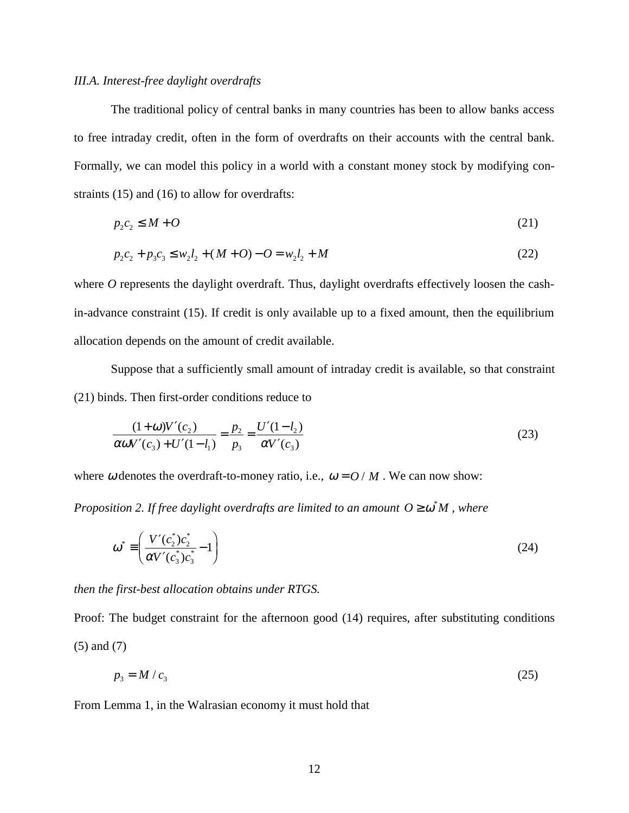### *III.A. Interest-free daylight overdrafts*

The traditional policy of central banks in many countries has been to allow banks access to free intraday credit, often in the form of overdrafts on their accounts with the central bank. Formally, we can model this policy in a world with a constant money stock by modifying constraints (15) and (16) to allow for overdrafts:

$$
p_2 c_2 \le M + O \tag{21}
$$

$$
p_2c_2 + p_3c_3 \le w_2l_2 + (M+O) - O = w_2l_2 + M \tag{22}
$$

where *O* represents the daylight overdraft. Thus, daylight overdrafts effectively loosen the cashin-advance constraint (15). If credit is only available up to a fixed amount, then the equilibrium allocation depends on the amount of credit available.

Suppose that a sufficiently small amount of intraday credit is available, so that constraint (21) binds. Then first-order conditions reduce to

$$
\frac{(1+\omega)V'(c_2)}{\alpha\omega V'(c_3) + U'(1-l_1)} = \frac{p_2}{p_3} = \frac{U'(1-l_2)}{\alpha V'(c_3)}\tag{23}
$$

where  $\omega$  denotes the overdraft-to-money ratio, i.e.,  $\omega = O/M$ . We can now show:

*Proposition 2. If free daylight overdrafts are limited to an amount*  $O \ge \omega^* M$ *, where* 

$$
\omega^* \equiv \left(\frac{V'(c_2^*)c_2^*}{\alpha V'(c_3^*)c_3^*} - 1\right)
$$
\n(24)

*then the first-best allocation obtains under RTGS.*

Proof: The budget constraint for the afternoon good (14) requires, after substituting conditions (5) and (7)

$$
p_3 = M / c_3 \tag{25}
$$

From Lemma 1, in the Walrasian economy it must hold that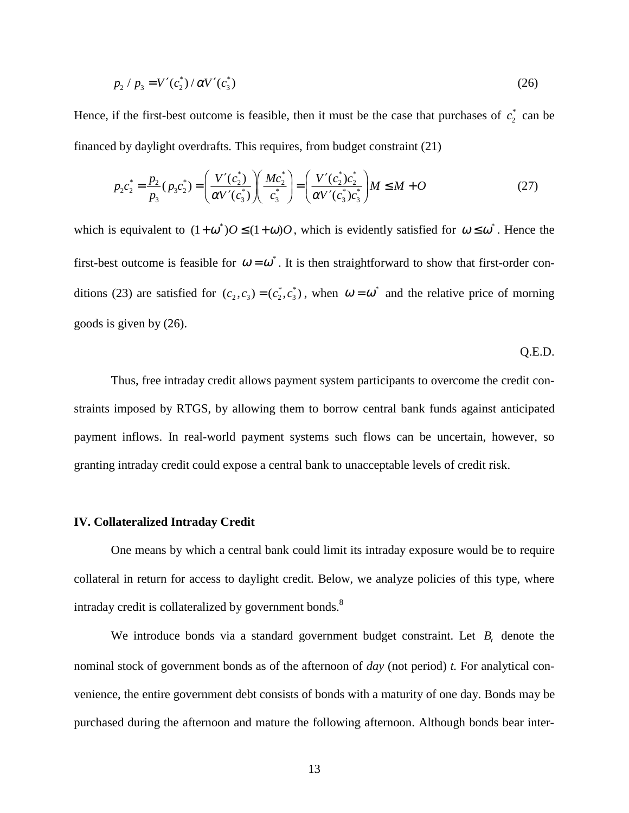$$
p_2 / p_3 = V'(c_2^*) / \alpha V'(c_3^*)
$$
\n(26)

Hence, if the first-best outcome is feasible, then it must be the case that purchases of  $c_2^*$  can be financed by daylight overdrafts. This requires, from budget constraint (21)

$$
p_2 c_2^* = \frac{p_2}{p_3} (p_3 c_2^*) = \left(\frac{V'(c_2^*)}{\alpha V'(c_3^*)}\right) \left(\frac{Mc_2^*}{c_3^*}\right) = \left(\frac{V'(c_2^*)c_2^*}{\alpha V'(c_3^*)c_3^*}\right) M \le M + O \tag{27}
$$

which is equivalent to  $(1 + \omega^*)O \le (1 + \omega)O$ , which is evidently satisfied for  $\omega \le \omega^*$ . Hence the first-best outcome is feasible for  $\omega = \omega^*$ . It is then straightforward to show that first-order conditions (23) are satisfied for  $(c_2, c_3) = (c_2^*, c_3^*)$ , when  $\omega = \omega^*$  and the relative price of morning goods is given by (26).

Q.E.D.

Thus, free intraday credit allows payment system participants to overcome the credit constraints imposed by RTGS, by allowing them to borrow central bank funds against anticipated payment inflows. In real-world payment systems such flows can be uncertain, however, so granting intraday credit could expose a central bank to unacceptable levels of credit risk.

### **IV. Collateralized Intraday Credit**

One means by which a central bank could limit its intraday exposure would be to require collateral in return for access to daylight credit. Below, we analyze policies of this type, where intraday credit is collateralized by government bonds.<sup>8</sup>

We introduce bonds via a standard government budget constraint. Let  $B_t$  denote the nominal stock of government bonds as of the afternoon of *day* (not period) *t.* For analytical convenience, the entire government debt consists of bonds with a maturity of one day. Bonds may be purchased during the afternoon and mature the following afternoon. Although bonds bear inter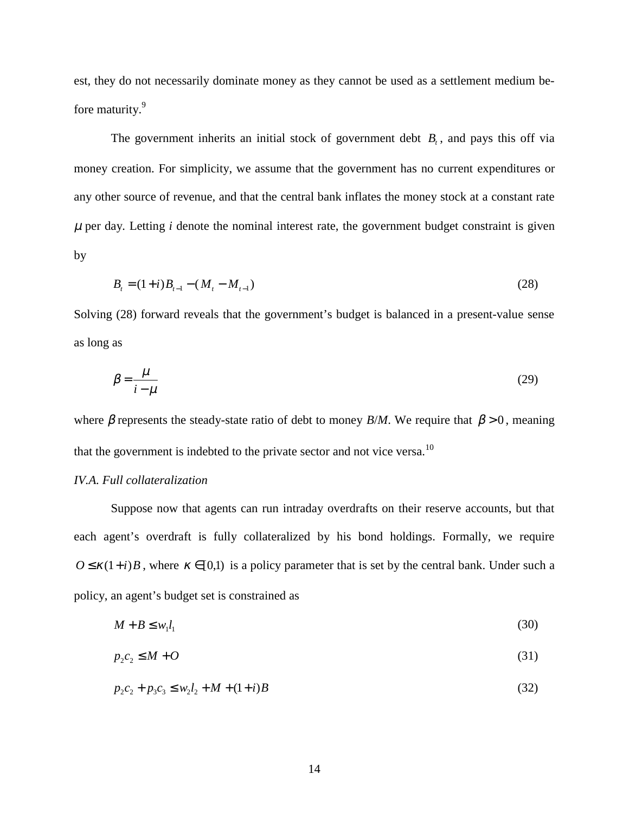est, they do not necessarily dominate money as they cannot be used as a settlement medium before maturity.<sup>9</sup>

The government inherits an initial stock of government debt  $B_t$ , and pays this off via money creation. For simplicity, we assume that the government has no current expenditures or any other source of revenue, and that the central bank inflates the money stock at a constant rate  $\mu$  per day. Letting *i* denote the nominal interest rate, the government budget constraint is given by

$$
B_t = (1+i)B_{t-1} - (M_t - M_{t-1})
$$
\n(28)

Solving (28) forward reveals that the government's budget is balanced in a present-value sense as long as

$$
\beta = \frac{\mu}{i - \mu} \tag{29}
$$

where  $\beta$  represents the steady-state ratio of debt to money *B/M*. We require that  $\beta > 0$ , meaning that the government is indebted to the private sector and not vice versa.<sup>10</sup>

# *IV.A. Full collateralization*

Suppose now that agents can run intraday overdrafts on their reserve accounts, but that each agent's overdraft is fully collateralized by his bond holdings. Formally, we require  $O \le \kappa(1+i)B$ , where  $\kappa \in [0,1)$  is a policy parameter that is set by the central bank. Under such a policy, an agent's budget set is constrained as

$$
M + B \le w_1 l_1 \tag{30}
$$

$$
p_2 c_2 \le M + O \tag{31}
$$

 $p_2 c_2 + p_3 c_3 \leq w_2 l_2 + M + (1 + i) B$  (32)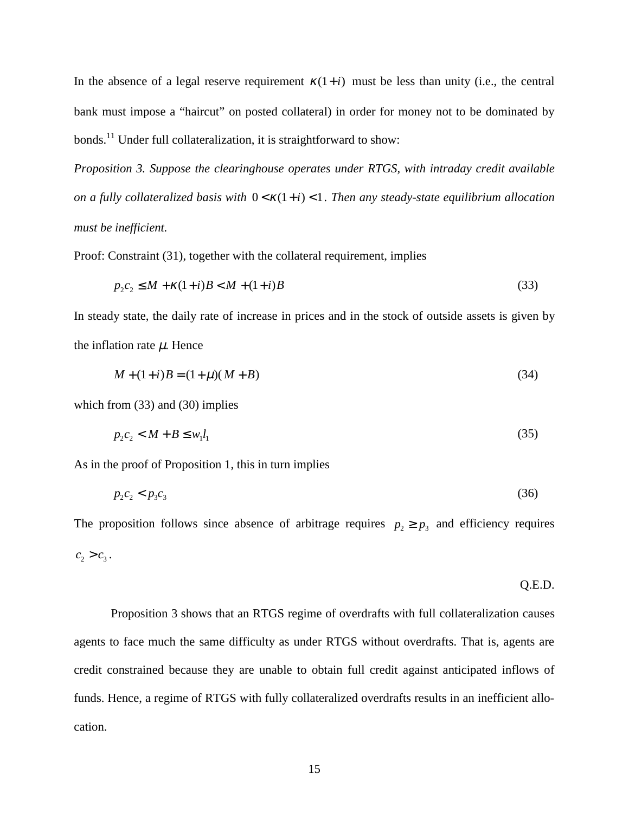In the absence of a legal reserve requirement  $\kappa(1+i)$  must be less than unity (i.e., the central bank must impose a "haircut" on posted collateral) in order for money not to be dominated by bonds.11 Under full collateralization, it is straightforward to show:

*Proposition 3. Suppose the clearinghouse operates under RTGS, with intraday credit available on a fully collateralized basis with*  $0 \lt K(1+i) \lt 1$ . Then any steady-state equilibrium allocation *must be inefficient.*

Proof: Constraint (31), together with the collateral requirement, implies

$$
p_2 c_2 \le M + \kappa (1+i)B < M + (1+i)B
$$
\n(33)

In steady state, the daily rate of increase in prices and in the stock of outside assets is given by the inflation rate  $\mu$ . Hence

$$
M + (1+i)B = (1+\mu)(M+B)
$$
\n(34)

which from (33) and (30) implies

$$
p_2 c_2 < M + B \le w_1 l_1 \tag{35}
$$

As in the proof of Proposition 1, this in turn implies

$$
p_2c_2 < p_3c_3 \tag{36}
$$

The proposition follows since absence of arbitrage requires  $p_2 \geq p_3$  and efficiency requires  $c_2 > c_3$ .

$$
Q.E.D.
$$

Proposition 3 shows that an RTGS regime of overdrafts with full collateralization causes agents to face much the same difficulty as under RTGS without overdrafts. That is, agents are credit constrained because they are unable to obtain full credit against anticipated inflows of funds. Hence, a regime of RTGS with fully collateralized overdrafts results in an inefficient allocation.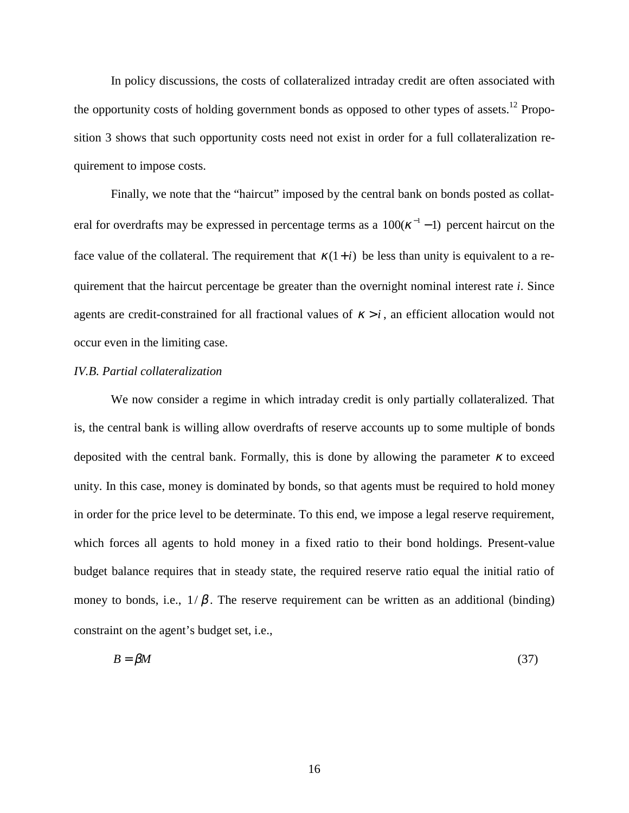In policy discussions, the costs of collateralized intraday credit are often associated with the opportunity costs of holding government bonds as opposed to other types of assets.<sup>12</sup> Proposition 3 shows that such opportunity costs need not exist in order for a full collateralization requirement to impose costs.

Finally, we note that the "haircut" imposed by the central bank on bonds posted as collateral for overdrafts may be expressed in percentage terms as a  $100(\kappa^{-1} - 1)$  percent haircut on the face value of the collateral. The requirement that  $\kappa(1+i)$  be less than unity is equivalent to a requirement that the haircut percentage be greater than the overnight nominal interest rate *i*. Since agents are credit-constrained for all fractional values of  $\kappa > i$ , an efficient allocation would not occur even in the limiting case.

#### *IV.B. Partial collateralization*

We now consider a regime in which intraday credit is only partially collateralized. That is, the central bank is willing allow overdrafts of reserve accounts up to some multiple of bonds deposited with the central bank. Formally, this is done by allowing the parameter  $\kappa$  to exceed unity. In this case, money is dominated by bonds, so that agents must be required to hold money in order for the price level to be determinate. To this end, we impose a legal reserve requirement, which forces all agents to hold money in a fixed ratio to their bond holdings. Present-value budget balance requires that in steady state, the required reserve ratio equal the initial ratio of money to bonds, i.e.,  $1/\beta$ . The reserve requirement can be written as an additional (binding) constraint on the agent's budget set, i.e.,

$$
B = \beta M \tag{37}
$$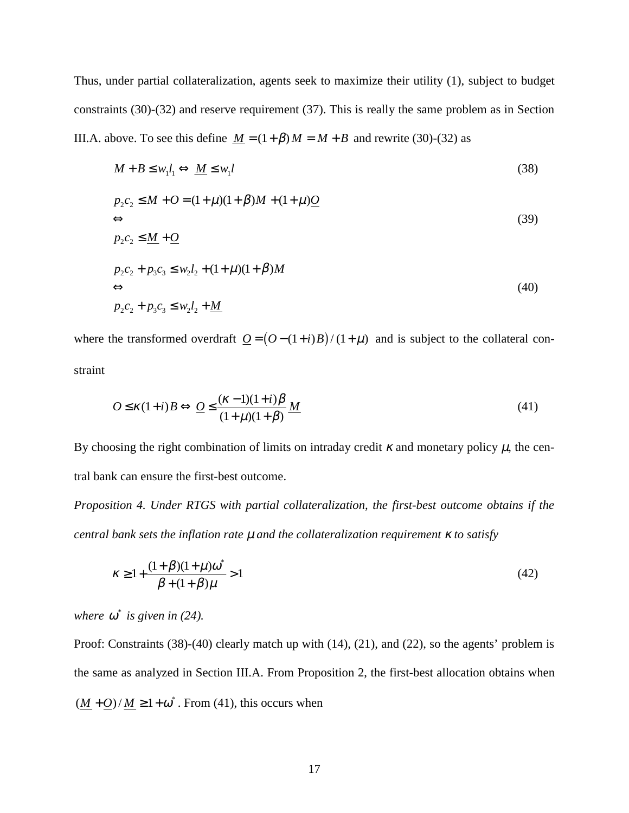Thus, under partial collateralization, agents seek to maximize their utility (1), subject to budget constraints (30)-(32) and reserve requirement (37). This is really the same problem as in Section III.A. above. To see this define  $M = (1 + \beta)M = M + B$  and rewrite (30)-(32) as

$$
M + B \le w_1 l_1 \Leftrightarrow \underline{M} \le w_1 l
$$
\n
$$
p_2 c_2 \le M + O = (1 + \mu)(1 + \beta)M + (1 + \mu)Q
$$
\n
$$
\Leftrightarrow
$$
\n
$$
p_2 c_2 \le \underline{M} + \underline{O}
$$
\n
$$
p_2 c_2 + p_3 c_3 \le w_2 l_2 + (1 + \mu)(1 + \beta)M
$$
\n
$$
\Leftrightarrow
$$
\n
$$
p_2 c_2 + p_3 c_3 \le w_2 l_2 + \underline{M}
$$
\n(40)

where the transformed overdraft  $Q = (O - (1 + i)B)/(1 + \mu)$  and is subject to the collateral constraint

$$
O \le \kappa(1+i)B \Leftrightarrow \underline{O} \le \frac{(\kappa-1)(1+i)\beta}{(1+\mu)(1+\beta)}\underline{M}
$$
\n(41)

By choosing the right combination of limits on intraday credit  $\kappa$  and monetary policy  $\mu$ , the central bank can ensure the first-best outcome.

*Proposition 4. Under RTGS with partial collateralization, the first-best outcome obtains if the central bank sets the inflation rate* µ *and the collateralization requirement* κ *to satisfy*

$$
\kappa \ge 1 + \frac{(1+\beta)(1+\mu)\omega^*}{\beta + (1+\beta)\mu} > 1
$$
\n(42)

where  $\omega^*$  is given in (24).

Proof: Constraints (38)-(40) clearly match up with (14), (21), and (22), so the agents' problem is the same as analyzed in Section III.A. From Proposition 2, the first-best allocation obtains when  $(\underline{M} + \underline{O})/\underline{M} \ge 1 + \omega^*$ . From (41), this occurs when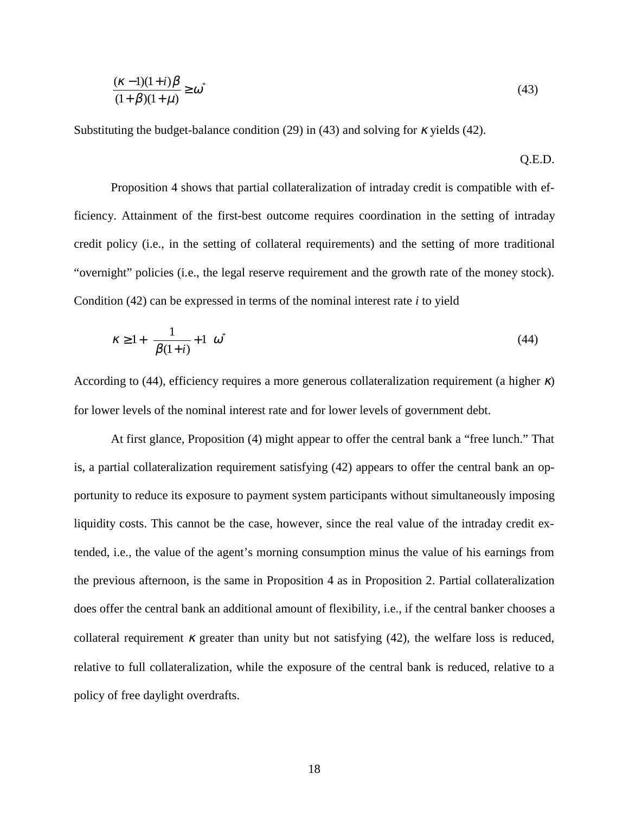$$
\frac{(\kappa - 1)(1+i)\beta}{(1+\beta)(1+\mu)} \ge \omega^* \tag{43}
$$

Q.E.D.

Substituting the budget-balance condition (29) in (43) and solving for  $\kappa$  yields (42).

Proposition 4 shows that partial collateralization of intraday credit is compatible with efficiency. Attainment of the first-best outcome requires coordination in the setting of intraday credit policy (i.e., in the setting of collateral requirements) and the setting of more traditional "overnight" policies (i.e., the legal reserve requirement and the growth rate of the money stock). Condition (42) can be expressed in terms of the nominal interest rate *i* to yield

$$
\kappa \ge 1 + \left(\frac{1}{\beta(1+i)} + 1\right)\omega^* \tag{44}
$$

According to (44), efficiency requires a more generous collateralization requirement (a higher  $\kappa$ ) for lower levels of the nominal interest rate and for lower levels of government debt.

At first glance, Proposition (4) might appear to offer the central bank a "free lunch." That is, a partial collateralization requirement satisfying (42) appears to offer the central bank an opportunity to reduce its exposure to payment system participants without simultaneously imposing liquidity costs. This cannot be the case, however, since the real value of the intraday credit extended, i.e., the value of the agent's morning consumption minus the value of his earnings from the previous afternoon, is the same in Proposition 4 as in Proposition 2. Partial collateralization does offer the central bank an additional amount of flexibility, i.e., if the central banker chooses a collateral requirement  $\kappa$  greater than unity but not satisfying (42), the welfare loss is reduced, relative to full collateralization, while the exposure of the central bank is reduced, relative to a policy of free daylight overdrafts.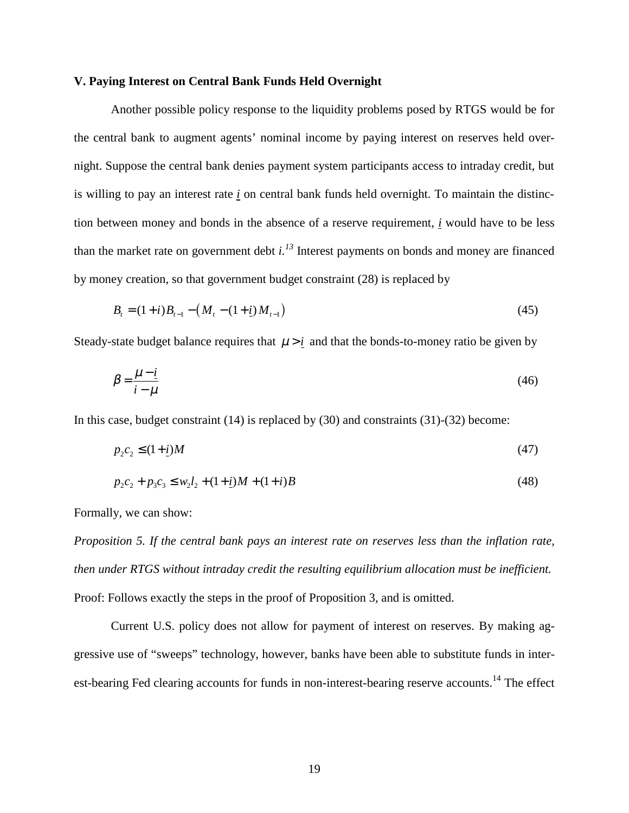### **V. Paying Interest on Central Bank Funds Held Overnight**

Another possible policy response to the liquidity problems posed by RTGS would be for the central bank to augment agents' nominal income by paying interest on reserves held overnight. Suppose the central bank denies payment system participants access to intraday credit, but is willing to pay an interest rate *i* on central bank funds held overnight. To maintain the distinction between money and bonds in the absence of a reserve requirement, *i* would have to be less than the market rate on government debt  $i^{3}$  Interest payments on bonds and money are financed by money creation, so that government budget constraint (28) is replaced by

$$
B_{t} = (1+i)B_{t-1} - (M_{t} - (1+i)M_{t-1})
$$
\n(45)

Steady-state budget balance requires that  $\mu > i$  and that the bonds-to-money ratio be given by

$$
\beta = \frac{\mu - i}{i - \mu} \tag{46}
$$

In this case, budget constraint (14) is replaced by (30) and constraints (31)-(32) become:

$$
p_2 c_2 \le (1 + \underline{i}) M \tag{47}
$$

$$
p_2c_2 + p_3c_3 \le w_2l_2 + (1+i)M + (1+i)B \tag{48}
$$

Formally, we can show:

*Proposition 5. If the central bank pays an interest rate on reserves less than the inflation rate, then under RTGS without intraday credit the resulting equilibrium allocation must be inefficient.* Proof: Follows exactly the steps in the proof of Proposition 3, and is omitted.

Current U.S. policy does not allow for payment of interest on reserves. By making aggressive use of "sweeps" technology, however, banks have been able to substitute funds in interest-bearing Fed clearing accounts for funds in non-interest-bearing reserve accounts.<sup>14</sup> The effect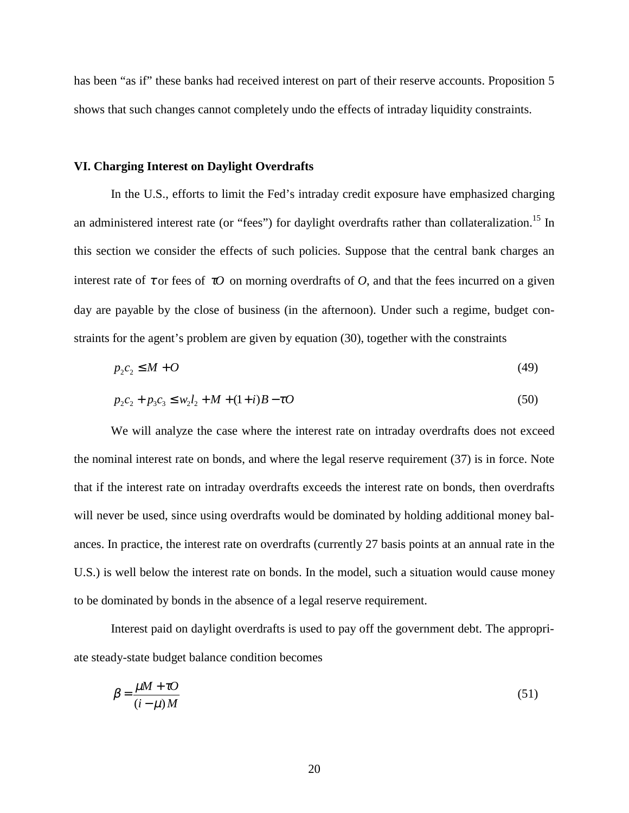has been "as if" these banks had received interest on part of their reserve accounts. Proposition 5 shows that such changes cannot completely undo the effects of intraday liquidity constraints.

### **VI. Charging Interest on Daylight Overdrafts**

In the U.S., efforts to limit the Fed's intraday credit exposure have emphasized charging an administered interest rate (or "fees") for daylight overdrafts rather than collateralization.<sup>15</sup> In this section we consider the effects of such policies. Suppose that the central bank charges an interest rate of  $\tau$  or fees of  $\tau$ *O* on morning overdrafts of *O*, and that the fees incurred on a given day are payable by the close of business (in the afternoon). Under such a regime, budget constraints for the agent's problem are given by equation (30), together with the constraints

$$
p_2 c_2 \le M + O \tag{49}
$$

$$
p_2c_2 + p_3c_3 \le w_2l_2 + M + (1+i)B - \tau O \tag{50}
$$

We will analyze the case where the interest rate on intraday overdrafts does not exceed the nominal interest rate on bonds, and where the legal reserve requirement (37) is in force. Note that if the interest rate on intraday overdrafts exceeds the interest rate on bonds, then overdrafts will never be used, since using overdrafts would be dominated by holding additional money balances. In practice, the interest rate on overdrafts (currently 27 basis points at an annual rate in the U.S.) is well below the interest rate on bonds. In the model, such a situation would cause money to be dominated by bonds in the absence of a legal reserve requirement.

Interest paid on daylight overdrafts is used to pay off the government debt. The appropriate steady-state budget balance condition becomes

$$
\beta = \frac{\mu M + \tau O}{(i - \mu) M} \tag{51}
$$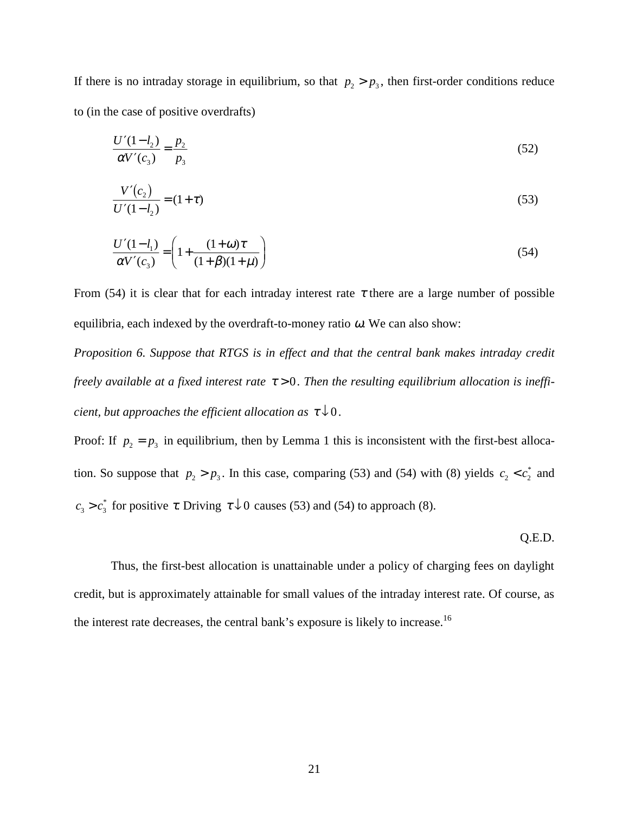If there is no intraday storage in equilibrium, so that  $p_2 > p_3$ , then first-order conditions reduce to (in the case of positive overdrafts)

$$
\frac{U'(1 - l_2)}{\alpha V'(c_3)} = \frac{p_2}{p_3} \tag{52}
$$

$$
\frac{V'(c_2)}{U'(1-l_2)} = (1+\tau)
$$
\n(53)

$$
\frac{U'(1 - l_1)}{\alpha V'(c_3)} = \left(1 + \frac{(1 + \omega)\tau}{(1 + \beta)(1 + \mu)}\right)
$$
\n(54)

From (54) it is clear that for each intraday interest rate  $\tau$  there are a large number of possible equilibria, each indexed by the overdraft-to-money ratio  $\omega$ . We can also show:

*Proposition 6. Suppose that RTGS is in effect and that the central bank makes intraday credit freely available at a fixed interest rate*  $τ > 0$ . *Then the resulting equilibrium allocation is inefficient, but approaches the efficient allocation as*  $\tau \downarrow 0$ .

Proof: If  $p_2 = p_3$  in equilibrium, then by Lemma 1 this is inconsistent with the first-best allocation. So suppose that  $p_2 > p_3$ . In this case, comparing (53) and (54) with (8) yields  $c_2 < c_2^*$  and  $c_3 > c_3^*$  for positive  $\tau$ . Driving  $\tau \downarrow 0$  causes (53) and (54) to approach (8).

Q.E.D.

Thus, the first-best allocation is unattainable under a policy of charging fees on daylight credit, but is approximately attainable for small values of the intraday interest rate. Of course, as the interest rate decreases, the central bank's exposure is likely to increase.<sup>16</sup>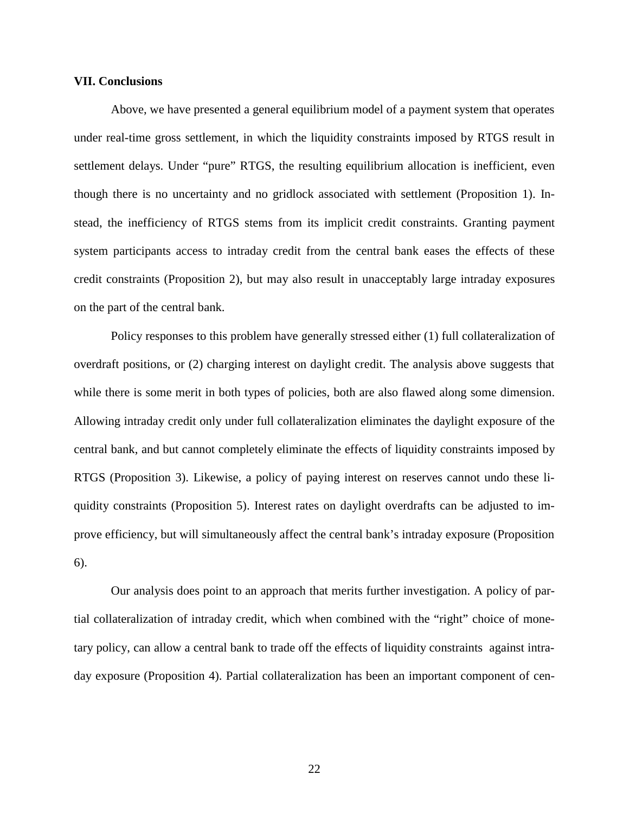### **VII. Conclusions**

Above, we have presented a general equilibrium model of a payment system that operates under real-time gross settlement, in which the liquidity constraints imposed by RTGS result in settlement delays. Under "pure" RTGS, the resulting equilibrium allocation is inefficient, even though there is no uncertainty and no gridlock associated with settlement (Proposition 1). Instead, the inefficiency of RTGS stems from its implicit credit constraints. Granting payment system participants access to intraday credit from the central bank eases the effects of these credit constraints (Proposition 2), but may also result in unacceptably large intraday exposures on the part of the central bank.

Policy responses to this problem have generally stressed either (1) full collateralization of overdraft positions, or (2) charging interest on daylight credit. The analysis above suggests that while there is some merit in both types of policies, both are also flawed along some dimension. Allowing intraday credit only under full collateralization eliminates the daylight exposure of the central bank, and but cannot completely eliminate the effects of liquidity constraints imposed by RTGS (Proposition 3). Likewise, a policy of paying interest on reserves cannot undo these liquidity constraints (Proposition 5). Interest rates on daylight overdrafts can be adjusted to improve efficiency, but will simultaneously affect the central bank's intraday exposure (Proposition 6).

Our analysis does point to an approach that merits further investigation. A policy of partial collateralization of intraday credit, which when combined with the "right" choice of monetary policy, can allow a central bank to trade off the effects of liquidity constraints against intraday exposure (Proposition 4). Partial collateralization has been an important component of cen-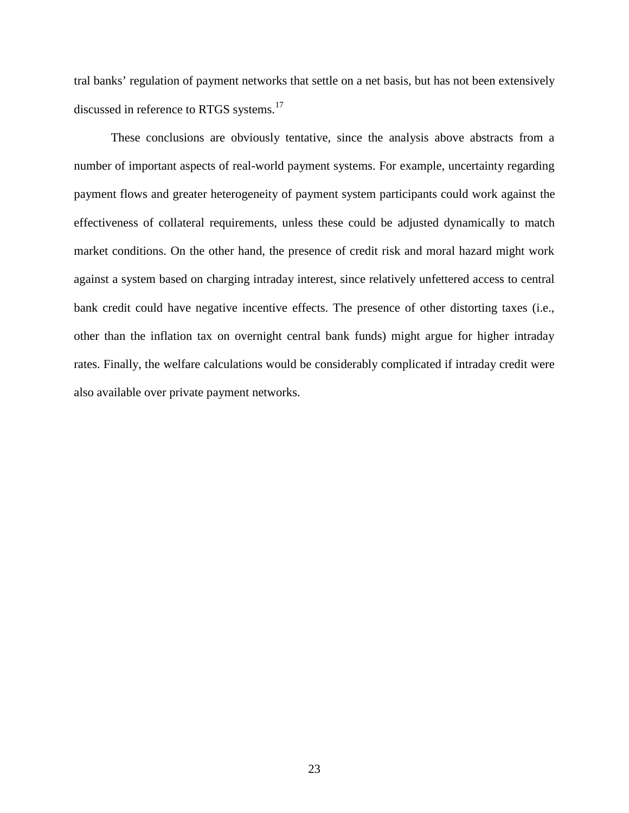tral banks' regulation of payment networks that settle on a net basis, but has not been extensively discussed in reference to RTGS systems.<sup>17</sup>

These conclusions are obviously tentative, since the analysis above abstracts from a number of important aspects of real-world payment systems. For example, uncertainty regarding payment flows and greater heterogeneity of payment system participants could work against the effectiveness of collateral requirements, unless these could be adjusted dynamically to match market conditions. On the other hand, the presence of credit risk and moral hazard might work against a system based on charging intraday interest, since relatively unfettered access to central bank credit could have negative incentive effects. The presence of other distorting taxes (i.e., other than the inflation tax on overnight central bank funds) might argue for higher intraday rates. Finally, the welfare calculations would be considerably complicated if intraday credit were also available over private payment networks.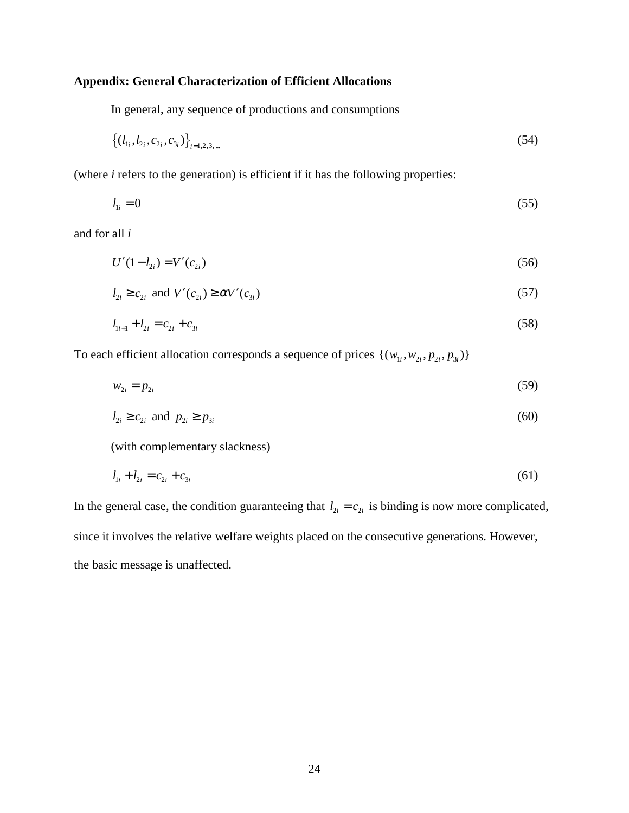# **Appendix: General Characterization of Efficient Allocations**

In general, any sequence of productions and consumptions

$$
\left\{ (l_{1i}, l_{2i}, c_{2i}, c_{3i}) \right\}_{i=1,2,3,\dots}
$$
 (54)

(where *i* refers to the generation) is efficient if it has the following properties:

$$
l_{1i} = 0 \tag{55}
$$

and for all *i*

$$
U'(1 - l_{2i}) = V'(c_{2i})
$$
\n(56)

$$
l_{2i} \ge c_{2i} \text{ and } V'(c_{2i}) \ge \alpha V'(c_{3i})
$$
\n<sup>(57)</sup>

$$
l_{1i+1} + l_{2i} = c_{2i} + c_{3i} \tag{58}
$$

To each efficient allocation corresponds a sequence of prices  $\{(w_{1i}, w_{2i}, p_{2i}, p_{3i})\}$ 

$$
w_{2i} = p_{2i} \tag{59}
$$

$$
l_{2i} \ge c_{2i} \text{ and } p_{2i} \ge p_{3i} \tag{60}
$$

(with complementary slackness)

$$
l_{1i} + l_{2i} = c_{2i} + c_{3i} \tag{61}
$$

In the general case, the condition guaranteeing that  $l_{2i} = c_{2i}$  is binding is now more complicated, since it involves the relative welfare weights placed on the consecutive generations. However, the basic message is unaffected.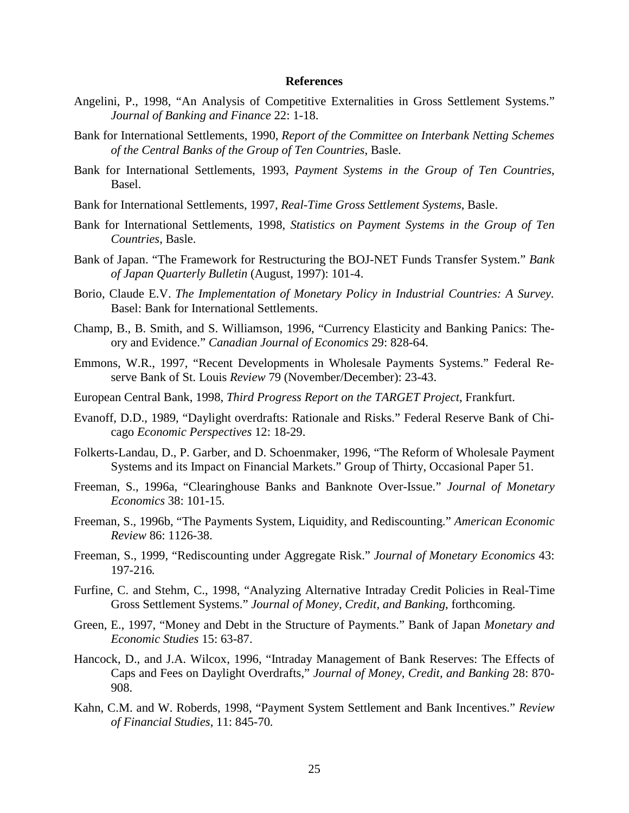#### **References**

- Angelini, P., 1998, "An Analysis of Competitive Externalities in Gross Settlement Systems." *Journal of Banking and Finance* 22: 1-18.
- Bank for International Settlements, 1990, *Report of the Committee on Interbank Netting Schemes of the Central Banks of the Group of Ten Countries*, Basle.
- Bank for International Settlements, 1993, *Payment Systems in the Group of Ten Countries*, Basel.
- Bank for International Settlements, 1997, *Real-Time Gross Settlement Systems*, Basle.
- Bank for International Settlements, 1998, *Statistics on Payment Systems in the Group of Ten Countries*, Basle.
- Bank of Japan. "The Framework for Restructuring the BOJ-NET Funds Transfer System." *Bank of Japan Quarterly Bulletin* (August, 1997): 101-4.
- Borio, Claude E.V. *The Implementation of Monetary Policy in Industrial Countries: A Survey.* Basel: Bank for International Settlements.
- Champ, B., B. Smith, and S. Williamson, 1996, "Currency Elasticity and Banking Panics: Theory and Evidence." *Canadian Journal of Economics* 29: 828-64.
- Emmons, W.R., 1997, "Recent Developments in Wholesale Payments Systems." Federal Reserve Bank of St. Louis *Review* 79 (November/December): 23-43.
- European Central Bank, 1998, *Third Progress Report on the TARGET Project*, Frankfurt.
- Evanoff, D.D., 1989, "Daylight overdrafts: Rationale and Risks." Federal Reserve Bank of Chicago *Economic Perspectives* 12: 18-29.
- Folkerts-Landau, D., P. Garber, and D. Schoenmaker, 1996, "The Reform of Wholesale Payment Systems and its Impact on Financial Markets." Group of Thirty, Occasional Paper 51.
- Freeman, S., 1996a, "Clearinghouse Banks and Banknote Over-Issue." *Journal of Monetary Economics* 38: 101-15.
- Freeman, S., 1996b, "The Payments System, Liquidity, and Rediscounting." *American Economic Review* 86: 1126-38.
- Freeman, S., 1999, "Rediscounting under Aggregate Risk." *Journal of Monetary Economics* 43: 197-216*.*
- Furfine, C. and Stehm, C., 1998, "Analyzing Alternative Intraday Credit Policies in Real-Time Gross Settlement Systems." *Journal of Money, Credit, and Banking*, forthcoming.
- Green, E., 1997, "Money and Debt in the Structure of Payments." Bank of Japan *Monetary and Economic Studies* 15: 63-87.
- Hancock, D., and J.A. Wilcox, 1996, "Intraday Management of Bank Reserves: The Effects of Caps and Fees on Daylight Overdrafts," *Journal of Money, Credit, and Banking* 28: 870- 908.
- Kahn, C.M. and W. Roberds, 1998, "Payment System Settlement and Bank Incentives." *Review of Financial Studies*, 11: 845-70*.*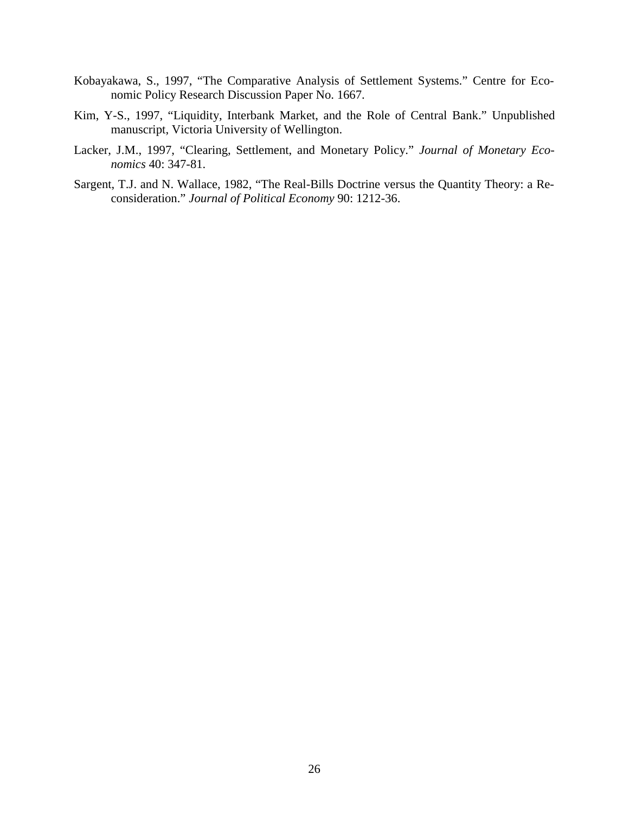- Kobayakawa, S., 1997, "The Comparative Analysis of Settlement Systems." Centre for Economic Policy Research Discussion Paper No. 1667.
- Kim, Y-S., 1997, "Liquidity, Interbank Market, and the Role of Central Bank." Unpublished manuscript, Victoria University of Wellington.
- Lacker, J.M., 1997, "Clearing, Settlement, and Monetary Policy." *Journal of Monetary Economics* 40: 347-81.
- Sargent, T.J. and N. Wallace, 1982, "The Real-Bills Doctrine versus the Quantity Theory: a Reconsideration." *Journal of Political Economy* 90: 1212-36.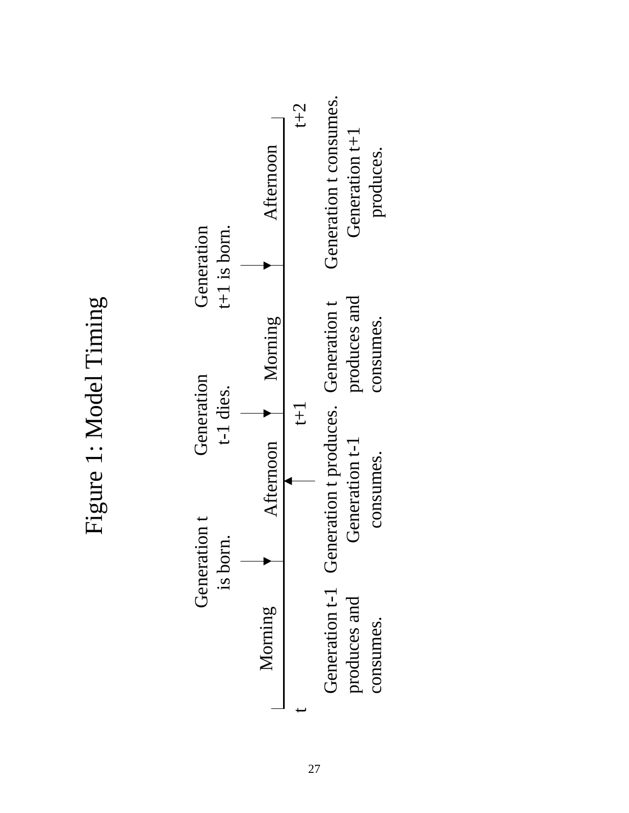Figure 1: Model Timing Figure 1: Model Timing

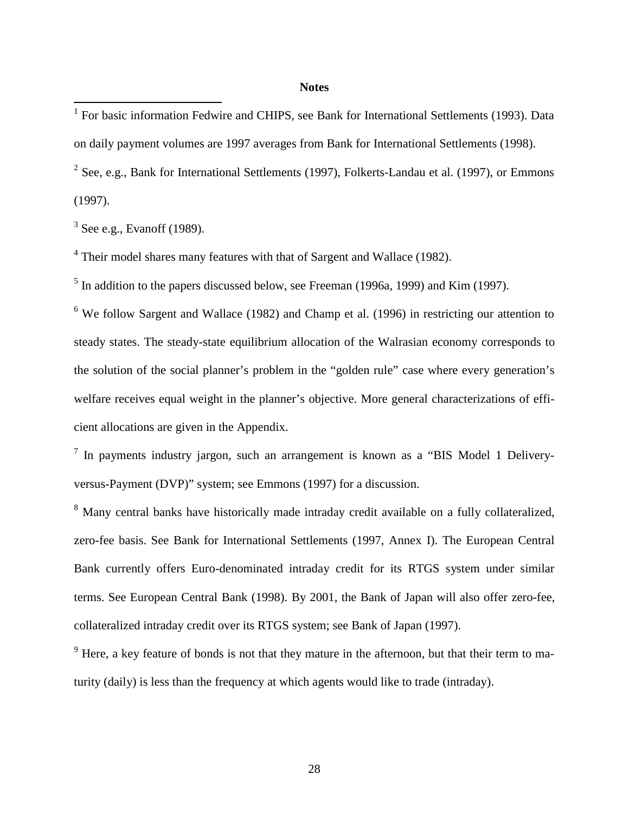## **Notes**

<sup>2</sup> See, e.g., Bank for International Settlements (1997), Folkerts-Landau et al. (1997), or Emmons (1997).

 $3$  See e.g., Evanoff (1989).

<sup>4</sup> Their model shares many features with that of Sargent and Wallace (1982).

 $<sup>5</sup>$  In addition to the papers discussed below, see Freeman (1996a, 1999) and Kim (1997).</sup>

<sup>6</sup> We follow Sargent and Wallace (1982) and Champ et al. (1996) in restricting our attention to steady states. The steady-state equilibrium allocation of the Walrasian economy corresponds to the solution of the social planner's problem in the "golden rule" case where every generation's welfare receives equal weight in the planner's objective. More general characterizations of efficient allocations are given in the Appendix.

 $<sup>7</sup>$  In payments industry jargon, such an arrangement is known as a "BIS Model 1 Delivery-</sup> versus-Payment (DVP)" system; see Emmons (1997) for a discussion.

<sup>8</sup> Many central banks have historically made intraday credit available on a fully collateralized, zero-fee basis. See Bank for International Settlements (1997, Annex I). The European Central Bank currently offers Euro-denominated intraday credit for its RTGS system under similar terms. See European Central Bank (1998). By 2001, the Bank of Japan will also offer zero-fee, collateralized intraday credit over its RTGS system; see Bank of Japan (1997).

 $9$  Here, a key feature of bonds is not that they mature in the afternoon, but that their term to maturity (daily) is less than the frequency at which agents would like to trade (intraday).

 1 For basic information Fedwire and CHIPS, see Bank for International Settlements (1993). Data on daily payment volumes are 1997 averages from Bank for International Settlements (1998).